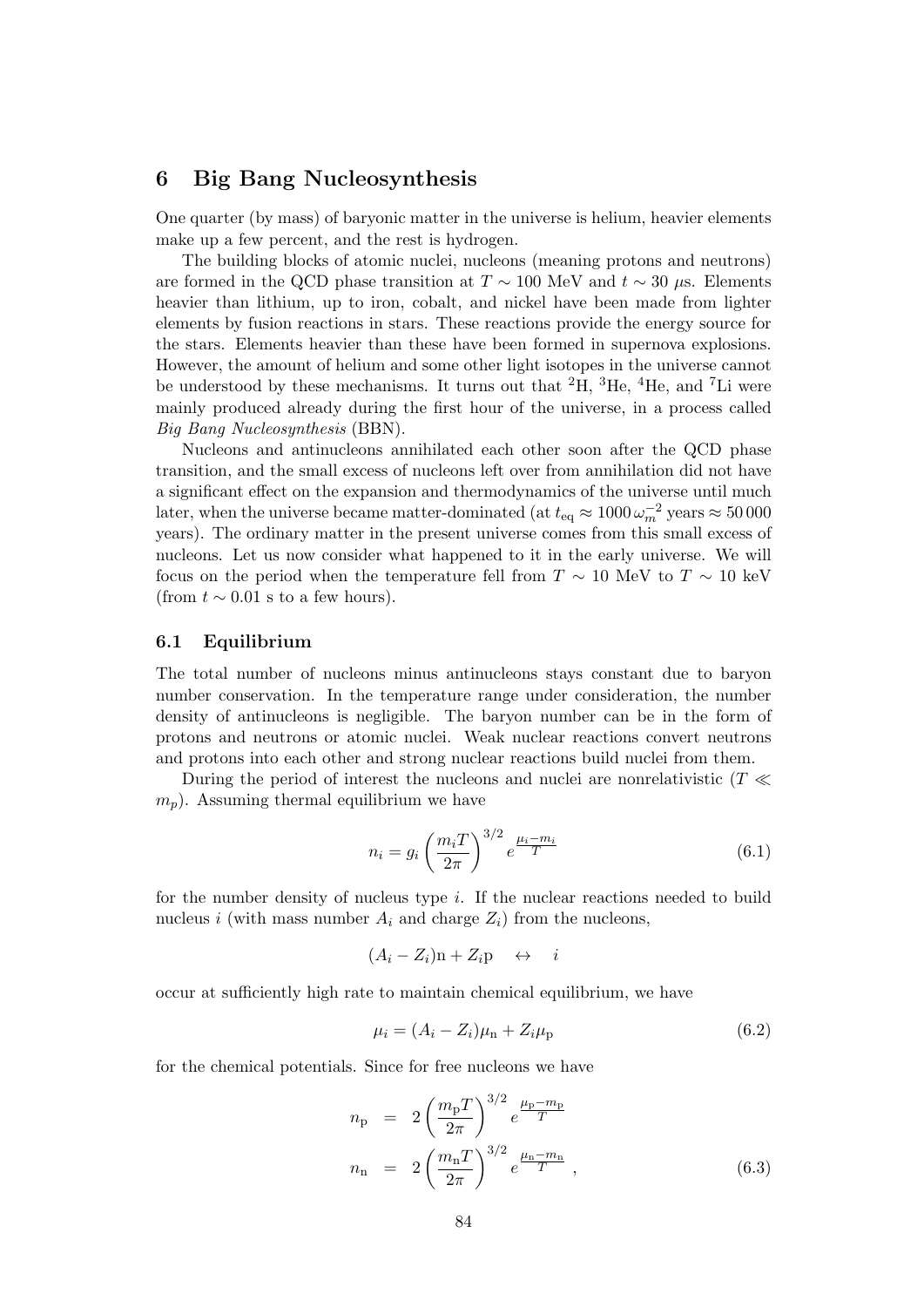# **6 Big Bang Nucleosynthesis**

One quarter (by mass) of baryonic matter in the universe is helium, heavier elements make up a few percent, and the rest is hydrogen.

The building blocks of atomic nuclei, nucleons (meaning protons and neutrons) are formed in the QCD phase transition at  $T \sim 100$  MeV and  $t \sim 30 \mu$ s. Elements heavier than lithium, up to iron, cobalt, and nickel have been made from lighter elements by fusion reactions in stars. These reactions provide the energy source for the stars. Elements heavier than these have been formed in supernova explosions. However, the amount of helium and some other light isotopes in the universe cannot be understood by these mechanisms. It turns out that  ${}^{2}H$ ,  ${}^{3}He$ ,  ${}^{4}He$ , and  ${}^{7}Li$  were mainly produced already during the first hour of the universe, in a process called *Big Bang Nucleosynthesis* (BBN).

Nucleons and antinucleons annihilated each other soon after the QCD phase transition, and the small excess of nucleons left over from annihilation did not have a significant effect on the expansion and thermodynamics of the universe until much later, when the universe became matter-dominated (at  $t_{\text{eq}} \approx 1000 \, \omega_m^{-2}$  years  $\approx 50000$ years). The ordinary matter in the present universe comes from this small excess of nucleons. Let us now consider what happened to it in the early universe. We will focus on the period when the temperature fell from  $T \sim 10$  MeV to  $T \sim 10$  keV (from  $t \sim 0.01$  s to a few hours).

# **6.1 Equilibrium**

The total number of nucleons minus antinucleons stays constant due to baryon number conservation. In the temperature range under consideration, the number density of antinucleons is negligible. The baryon number can be in the form of protons and neutrons or atomic nuclei. Weak nuclear reactions convert neutrons and protons into each other and strong nuclear reactions build nuclei from them.

During the period of interest the nucleons and nuclei are nonrelativistic (*T ≪ mp*). Assuming thermal equilibrium we have

$$
n_i = g_i \left(\frac{m_i T}{2\pi}\right)^{3/2} e^{\frac{\mu_i - m_i}{T}}
$$
\n(6.1)

for the number density of nucleus type *i*. If the nuclear reactions needed to build nucleus *i* (with mass number  $A_i$  and charge  $Z_i$ ) from the nucleons,

$$
(A_i - Z_i)\mathbf{n} + Z_i \mathbf{p} \quad \leftrightarrow \quad i
$$

occur at sufficiently high rate to maintain chemical equilibrium, we have

$$
\mu_i = (A_i - Z_i)\mu_{n} + Z_i\mu_{p}
$$
\n(6.2)

for the chemical potentials. Since for free nucleons we have

$$
n_{\rm p} = 2 \left(\frac{m_{\rm p} T}{2\pi}\right)^{3/2} e^{\frac{\mu_{\rm p} - m_{\rm p}}{T}}
$$
  

$$
n_{\rm n} = 2 \left(\frac{m_{\rm n} T}{2\pi}\right)^{3/2} e^{\frac{\mu_{\rm n} - m_{\rm n}}{T}}, \qquad (6.3)
$$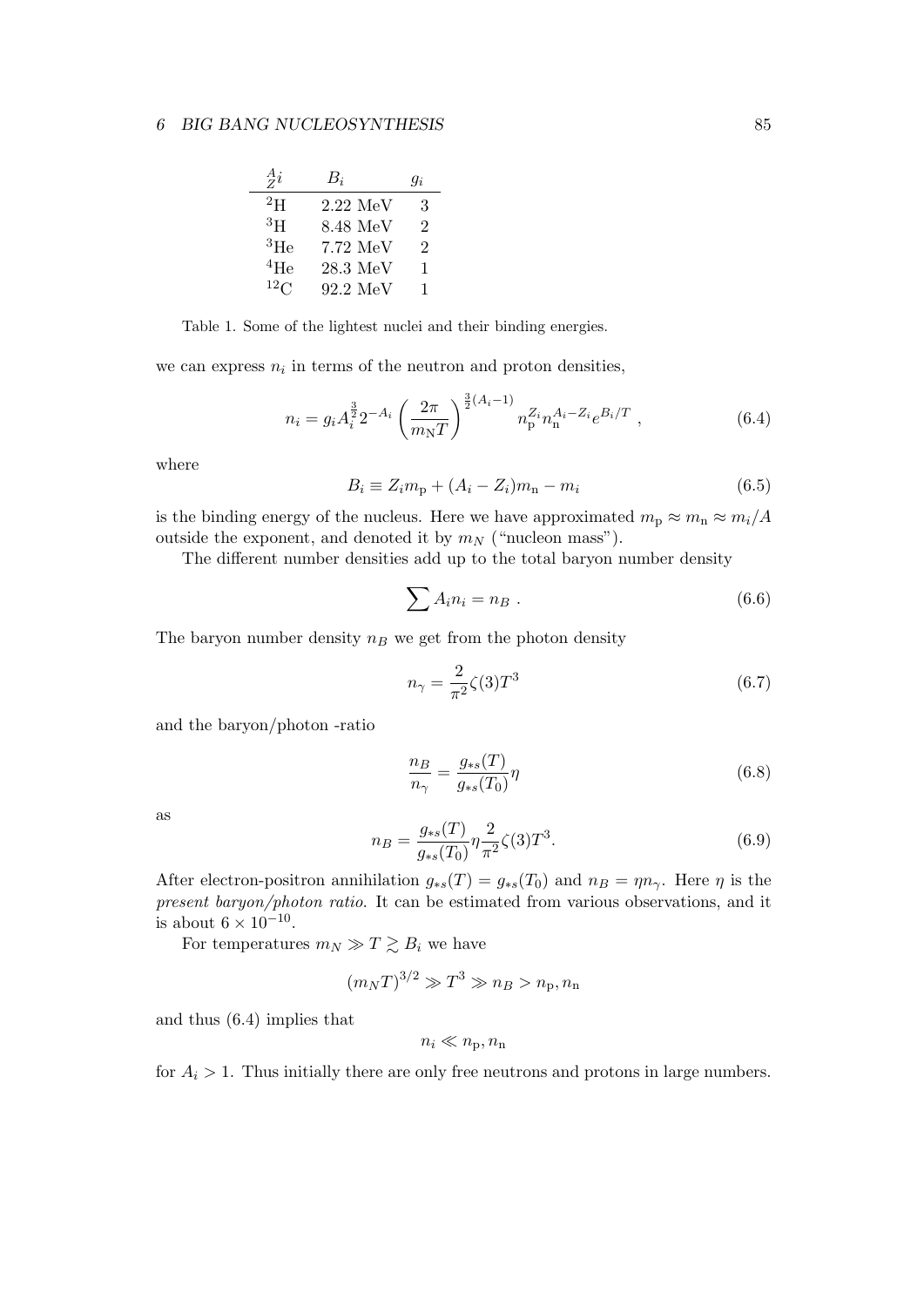| $\frac{A}{Z}i$  | $B_i$               | $q_i$ |
|-----------------|---------------------|-------|
| $^{2}$ H        | $2.22\text{ MeV}$   | 3     |
| ${}^{3}H$       | 8.48 MeV            | 2     |
| $\rm ^3He$      | 7.72 MeV            | 2     |
| $^{4}$ He       | $28.3~\mathrm{MeV}$ | 1     |
| 12 <sub>C</sub> | 92.2~MeV            | 1     |

Table 1. Some of the lightest nuclei and their binding energies.

we can express  $n_i$  in terms of the neutron and proton densities,

$$
n_i = g_i A_i^{\frac{3}{2}} 2^{-A_i} \left(\frac{2\pi}{m_{\rm N}T}\right)^{\frac{3}{2}(A_i-1)} n_{\rm p}^{Z_i} n_{\rm n}^{A_i - Z_i} e^{B_i/T} , \qquad (6.4)
$$

where

$$
B_i \equiv Z_i m_{\rm p} + (A_i - Z_i) m_{\rm n} - m_i \tag{6.5}
$$

is the binding energy of the nucleus. Here we have approximated  $m_p \approx m_n \approx m_i/A$ outside the exponent, and denoted it by  $m_N$  ("nucleon mass").

The different number densities add up to the total baryon number density

$$
\sum A_i n_i = n_B . \t\t(6.6)
$$

The baryon number density  $n_B$  we get from the photon density

$$
n_{\gamma} = \frac{2}{\pi^2} \zeta(3) T^3 \tag{6.7}
$$

and the baryon/photon -ratio

$$
\frac{n_B}{n_\gamma} = \frac{g_{\ast s}(T)}{g_{\ast s}(T_0)} \eta \tag{6.8}
$$

as

$$
n_B = \frac{g_{*s}(T)}{g_{*s}(T_0)} \eta \frac{2}{\pi^2} \zeta(3) T^3.
$$
\n(6.9)

After electron-positron annihilation  $g_{*s}(T) = g_{*s}(T_0)$  and  $n_B = \eta n_\gamma$ . Here  $\eta$  is the *present baryon/photon ratio*. It can be estimated from various observations, and it is about  $6 \times 10^{-10}$ .

For temperatures  $m_N \gg T \gtrsim B_i$  we have

$$
(m_N T)^{3/2} \gg T^3 \gg n_B > n_p, n_n
$$

and thus (6.4) implies that

$$
n_i \ll n_{\rm p}, n_{\rm n}
$$

for  $A_i > 1$ . Thus initially there are only free neutrons and protons in large numbers.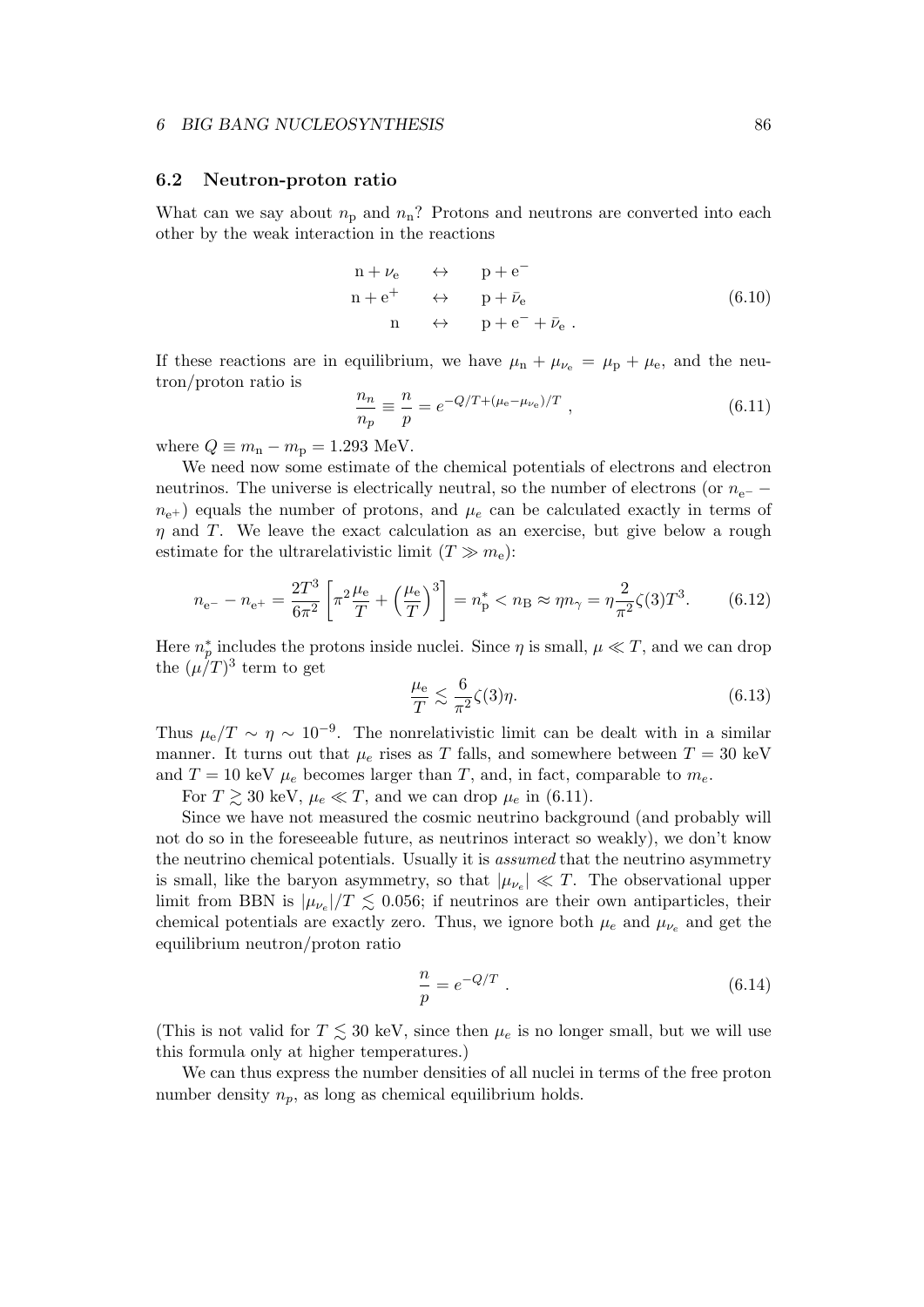#### **6.2 Neutron-proton ratio**

What can we say about  $n_p$  and  $n_n$ ? Protons and neutrons are converted into each other by the weak interaction in the reactions

$$
n + \nu_e \leftrightarrow p + e^-
$$
  
\n
$$
n + e^+ \leftrightarrow p + \bar{\nu}_e
$$
  
\n
$$
n \leftrightarrow p + e^- + \bar{\nu}_e.
$$
  
\n(6.10)

If these reactions are in equilibrium, we have  $\mu_n + \mu_{\nu_e} = \mu_p + \mu_e$ , and the neutron/proton ratio is

$$
\frac{n_n}{n_p} \equiv \frac{n}{p} = e^{-Q/T + (\mu_e - \mu_{\nu_e})/T} \;, \tag{6.11}
$$

where  $Q \equiv m_n - m_p = 1.293$  MeV.

We need now some estimate of the chemical potentials of electrons and electron neutrinos. The universe is electrically neutral, so the number of electrons (or *n*<sub>e</sub>− −  $n_{e+}$ ) equals the number of protons, and  $\mu_e$  can be calculated exactly in terms of *η* and *T*. We leave the exact calculation as an exercise, but give below a rough estimate for the ultrarelativistic limit  $(T \gg m_e)$ :

$$
n_{\rm e^{-}} - n_{\rm e^{+}} = \frac{2T^3}{6\pi^2} \left[ \pi^2 \frac{\mu_{\rm e}}{T} + \left(\frac{\mu_{\rm e}}{T}\right)^3 \right] = n_{\rm p}^* < n_{\rm B} \approx \eta n_{\gamma} = \eta \frac{2}{\pi^2} \zeta(3) T^3. \tag{6.12}
$$

Here  $n_p^*$  includes the protons inside nuclei. Since  $\eta$  is small,  $\mu \ll T$ , and we can drop the  $(\mu/T)^3$  term to get

$$
\frac{\mu_e}{T} \lesssim \frac{6}{\pi^2} \zeta(3)\eta. \tag{6.13}
$$

Thus  $\mu_e/T \sim \eta \sim 10^{-9}$ . The nonrelativistic limit can be dealt with in a similar manner. It turns out that  $\mu_e$  rises as *T* falls, and somewhere between  $T = 30 \text{ keV}$ and  $T = 10$  keV  $\mu_e$  becomes larger than *T*, and, in fact, comparable to  $m_e$ .

For  $T \gtrsim 30$  keV,  $\mu_e \ll T$ , and we can drop  $\mu_e$  in (6.11).

Since we have not measured the cosmic neutrino background (and probably will not do so in the foreseeable future, as neutrinos interact so weakly), we don't know the neutrino chemical potentials. Usually it is *assumed* that the neutrino asymmetry is small, like the baryon asymmetry, so that  $|\mu_{\nu_e}| \ll T$ . The observational upper limit from BBN is  $|\mu_{\nu_e}|/T \leq 0.056$ ; if neutrinos are their own antiparticles, their chemical potentials are exactly zero. Thus, we ignore both  $\mu_e$  and  $\mu_{\nu_e}$  and get the equilibrium neutron/proton ratio

$$
\frac{n}{p} = e^{-Q/T} . \t\t(6.14)
$$

(This is not valid for  $T \leq 30$  keV, since then  $\mu_e$  is no longer small, but we will use this formula only at higher temperatures.)

We can thus express the number densities of all nuclei in terms of the free proton number density  $n_p$ , as long as chemical equilibrium holds.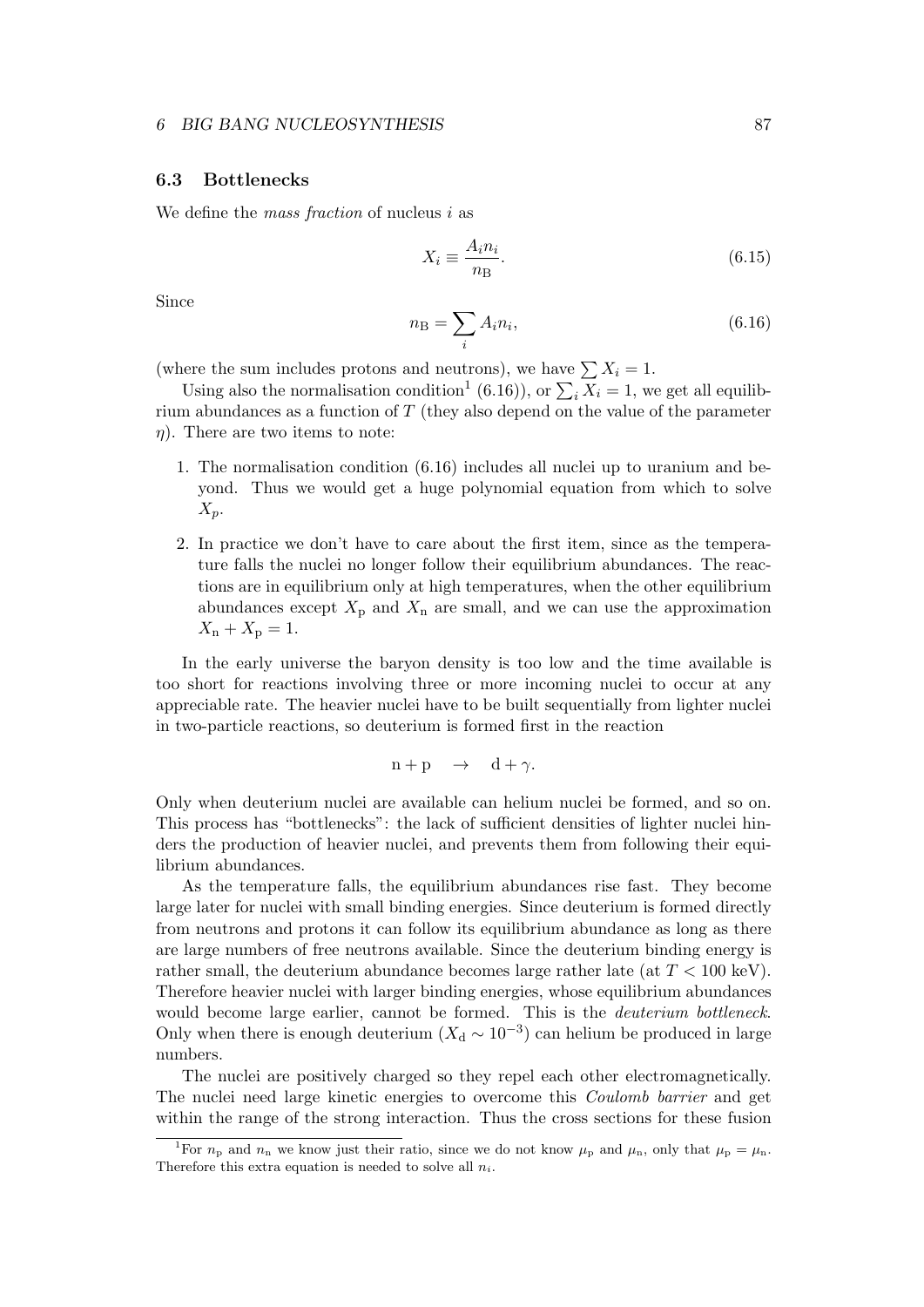# **6.3 Bottlenecks**

We define the *mass fraction* of nucleus *i* as

$$
X_i \equiv \frac{A_i n_i}{n \text{B}}.\tag{6.15}
$$

Since

$$
n_{\rm B} = \sum_{i} A_i n_i,\tag{6.16}
$$

(where the sum includes protons and neutrons), we have  $\sum X_i = 1$ .

Using also the normalisation condition<sup>1</sup> (6.16)), or  $\sum_i X_i = 1$ , we get all equilibrium abundances as a function of *T* (they also depend on the value of the parameter *η*). There are two items to note:

- 1. The normalisation condition (6.16) includes all nuclei up to uranium and beyond. Thus we would get a huge polynomial equation from which to solve *Xp*.
- 2. In practice we don't have to care about the first item, since as the temperature falls the nuclei no longer follow their equilibrium abundances. The reactions are in equilibrium only at high temperatures, when the other equilibrium abundances except  $X_p$  and  $X_n$  are small, and we can use the approximation  $X_n + X_p = 1.$

In the early universe the baryon density is too low and the time available is too short for reactions involving three or more incoming nuclei to occur at any appreciable rate. The heavier nuclei have to be built sequentially from lighter nuclei in two-particle reactions, so deuterium is formed first in the reaction

$$
n + p \quad \rightarrow \quad d + \gamma.
$$

Only when deuterium nuclei are available can helium nuclei be formed, and so on. This process has "bottlenecks": the lack of sufficient densities of lighter nuclei hinders the production of heavier nuclei, and prevents them from following their equilibrium abundances.

As the temperature falls, the equilibrium abundances rise fast. They become large later for nuclei with small binding energies. Since deuterium is formed directly from neutrons and protons it can follow its equilibrium abundance as long as there are large numbers of free neutrons available. Since the deuterium binding energy is rather small, the deuterium abundance becomes large rather late (at *T <* 100 keV). Therefore heavier nuclei with larger binding energies, whose equilibrium abundances would become large earlier, cannot be formed. This is the *deuterium bottleneck*. Only when there is enough deuterium ( $X_d \sim 10^{-3}$ ) can helium be produced in large numbers.

The nuclei are positively charged so they repel each other electromagnetically. The nuclei need large kinetic energies to overcome this *Coulomb barrier* and get within the range of the strong interaction. Thus the cross sections for these fusion

<sup>&</sup>lt;sup>1</sup>For  $n_p$  and  $n_n$  we know just their ratio, since we do not know  $\mu_p$  and  $\mu_n$ , only that  $\mu_p = \mu_n$ . Therefore this extra equation is needed to solve all *ni*.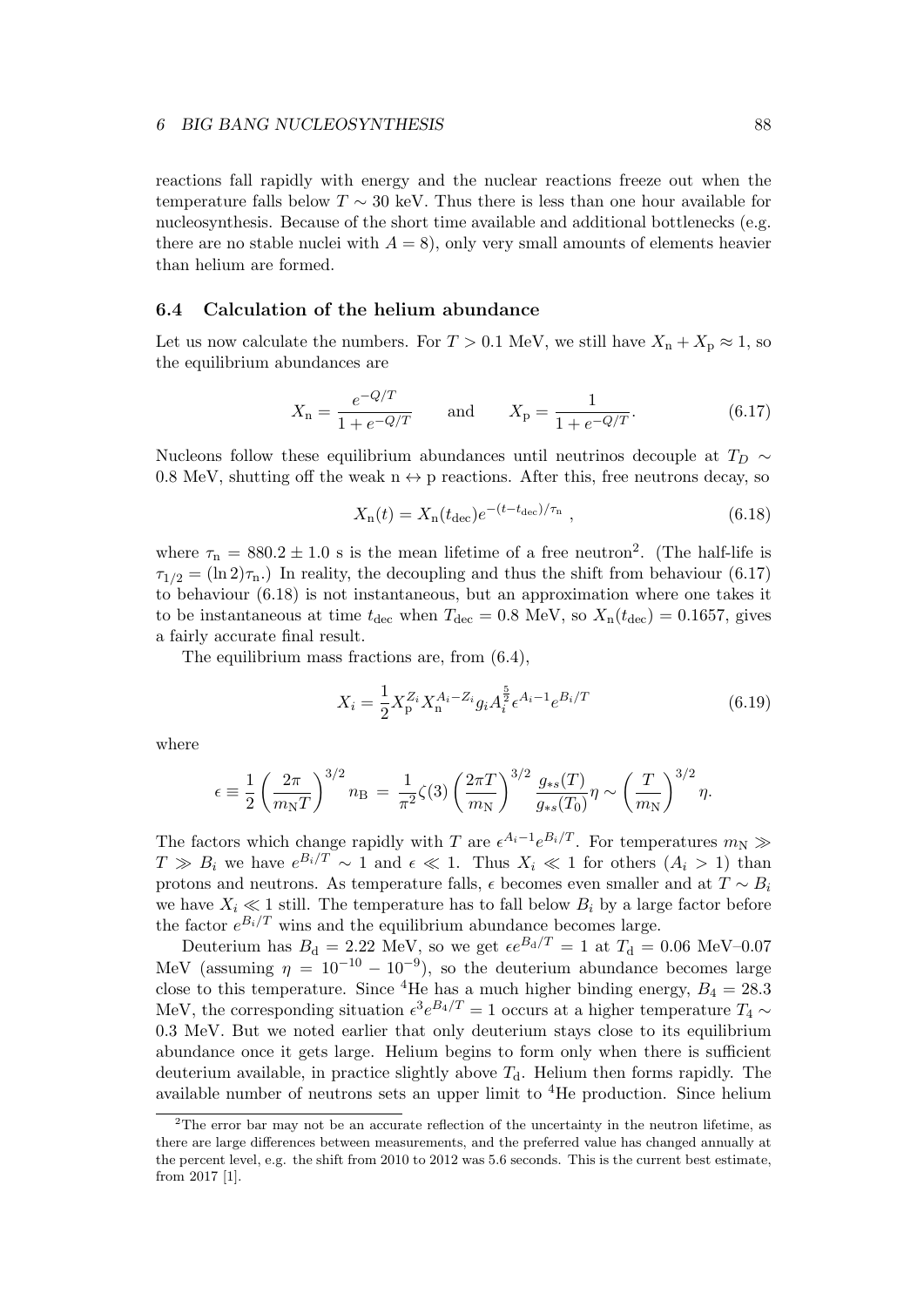reactions fall rapidly with energy and the nuclear reactions freeze out when the temperature falls below  $T \sim 30$  keV. Thus there is less than one hour available for nucleosynthesis. Because of the short time available and additional bottlenecks (e.g. there are no stable nuclei with  $A = 8$ ), only very small amounts of elements heavier than helium are formed.

# **6.4 Calculation of the helium abundance**

Let us now calculate the numbers. For  $T > 0.1$  MeV, we still have  $X_n + X_p \approx 1$ , so the equilibrium abundances are

$$
X_{\rm n} = \frac{e^{-Q/T}}{1 + e^{-Q/T}} \qquad \text{and} \qquad X_{\rm p} = \frac{1}{1 + e^{-Q/T}}.\tag{6.17}
$$

Nucleons follow these equilibrium abundances until neutrinos decouple at  $T_D \sim$ 0.8 MeV, shutting off the weak  $n \leftrightarrow p$  reactions. After this, free neutrons decay, so

$$
X_{\rm n}(t) = X_{\rm n}(t_{\rm dec})e^{-(t - t_{\rm dec})/\tau_{\rm n}}, \qquad (6.18)
$$

where  $\tau_n = 880.2 \pm 1.0$  s is the mean lifetime of a free neutron<sup>2</sup>. (The half-life is  $\tau_{1/2} = (\ln 2)\tau_{\text{n}}$ .) In reality, the decoupling and thus the shift from behaviour (6.17) to behaviour (6.18) is not instantaneous, but an approximation where one takes it to be instantaneous at time  $t_{\text{dec}}$  when  $T_{\text{dec}} = 0.8 \text{ MeV}$ , so  $X_{\text{n}}(t_{\text{dec}}) = 0.1657$ , gives a fairly accurate final result.

The equilibrium mass fractions are, from (6.4),

$$
X_i = \frac{1}{2} X_p^{Z_i} X_n^{A_i - Z_i} g_i A_i^{\frac{5}{2}} \epsilon^{A_i - 1} e^{B_i/T}
$$
 (6.19)

where

$$
\epsilon = \frac{1}{2} \left( \frac{2\pi}{m_{\rm N}T} \right)^{3/2} n_{\rm B} = \frac{1}{\pi^2} \zeta(3) \left( \frac{2\pi T}{m_{\rm N}} \right)^{3/2} \frac{g_{*s}(T)}{g_{*s}(T_0)} \eta \sim \left( \frac{T}{m_{\rm N}} \right)^{3/2} \eta.
$$

The factors which change rapidly with *T* are  $\epsilon^{A_i-1}e^{B_i/T}$ . For temperatures  $m_N \gg$  $T \gg B_i$  we have  $e^{B_i/T} \sim 1$  and  $\epsilon \ll 1$ . Thus  $X_i \ll 1$  for others  $(A_i > 1)$  than protons and neutrons. As temperature falls,  $\epsilon$  becomes even smaller and at  $T \sim B_i$ we have  $X_i \ll 1$  still. The temperature has to fall below  $B_i$  by a large factor before the factor  $e^{B_i/T}$  wins and the equilibrium abundance becomes large.

Deuterium has  $B_d = 2.22$  MeV, so we get  $\epsilon e^{B_d/T} = 1$  at  $T_d = 0.06$  MeV–0.07 MeV (assuming  $\eta = 10^{-10} - 10^{-9}$ ), so the deuterium abundance becomes large close to this temperature. Since <sup>4</sup>He has a much higher binding energy,  $B_4 = 28.3$ MeV, the corresponding situation  $\epsilon^3 e^{B_4/T} = 1$  occurs at a higher temperature  $T_4 \sim$ 0*.*3 MeV. But we noted earlier that only deuterium stays close to its equilibrium abundance once it gets large. Helium begins to form only when there is sufficient deuterium available, in practice slightly above  $T<sub>d</sub>$ . Helium then forms rapidly. The available number of neutrons sets an upper limit to  ${}^{4}$ He production. Since helium

<sup>&</sup>lt;sup>2</sup>The error bar may not be an accurate reflection of the uncertainty in the neutron lifetime, as there are large differences between measurements, and the preferred value has changed annually at the percent level, e.g. the shift from 2010 to 2012 was 5.6 seconds. This is the current best estimate, from 2017 [1].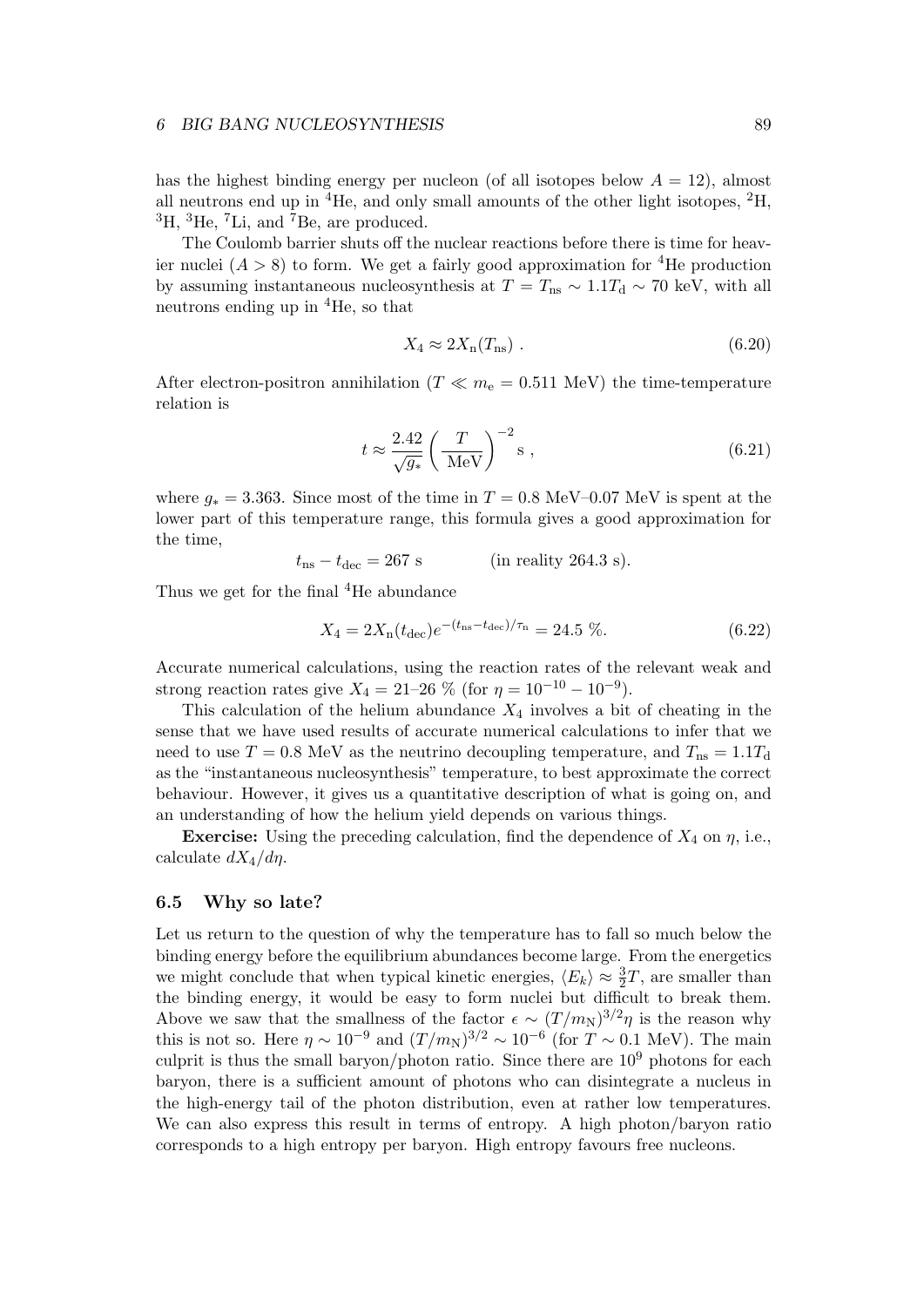#### *6* BIG BANG NUCLEOSYNTHESIS 89

has the highest binding energy per nucleon (of all isotopes below  $A = 12$ ), almost all neutrons end up in  ${}^{4}$ He, and only small amounts of the other light isotopes,  ${}^{2}$ H,  ${}^{3}$ H,  ${}^{3}$ He,  ${}^{7}$ Li, and  ${}^{7}$ Be, are produced.

The Coulomb barrier shuts off the nuclear reactions before there is time for heavier nuclei  $(A > 8)$  to form. We get a fairly good approximation for <sup>4</sup>He production by assuming instantaneous nucleosynthesis at  $T = T_{\text{ns}} \sim 1.1 T_{\text{d}} \sim 70 \text{ keV}$ , with all neutrons ending up in <sup>4</sup>He, so that

$$
X_4 \approx 2X_n(T_{\text{ns}}) \tag{6.20}
$$

After electron-positron annihilation ( $T \ll m_e = 0.511$  MeV) the time-temperature relation is

$$
t \approx \frac{2.42}{\sqrt{g_*}} \left(\frac{T}{\text{MeV}}\right)^{-2} \text{s} ,\qquad (6.21)
$$

where  $g_* = 3.363$ . Since most of the time in  $T = 0.8$  MeV–0.07 MeV is spent at the lower part of this temperature range, this formula gives a good approximation for the time,

$$
t_{\rm ns} - t_{\rm dec} = 267 \text{ s} \qquad \text{(in reality 264.3 s)}.
$$

Thus we get for the final <sup>4</sup>He abundance

$$
X_4 = 2X_n(t_{\text{dec}})e^{-(t_{\text{ns}} - t_{\text{dec}})/\tau_n} = 24.5\,\,\%,\tag{6.22}
$$

Accurate numerical calculations, using the reaction rates of the relevant weak and strong reaction rates give  $X_4 = 21-26$  % (for  $\eta = 10^{-10} - 10^{-9}$ ).

This calculation of the helium abundance *X*<sup>4</sup> involves a bit of cheating in the sense that we have used results of accurate numerical calculations to infer that we need to use  $T = 0.8$  MeV as the neutrino decoupling temperature, and  $T_{\text{ns}} = 1.1T_{\text{d}}$ as the "instantaneous nucleosynthesis" temperature, to best approximate the correct behaviour. However, it gives us a quantitative description of what is going on, and an understanding of how the helium yield depends on various things.

**Exercise:** Using the preceding calculation, find the dependence of  $X_4$  on  $\eta$ , i.e., calculate *dX*4*/dη*.

## **6.5 Why so late?**

Let us return to the question of why the temperature has to fall so much below the binding energy before the equilibrium abundances become large. From the energetics we might conclude that when typical kinetic energies,  $\langle E_k \rangle \approx \frac{3}{2}T$ , are smaller than the binding energy, it would be easy to form nuclei but difficult to break them. Above we saw that the smallness of the factor  $\epsilon \sim (T/m_N)^{3/2}\eta$  is the reason why this is not so. Here  $\eta \sim 10^{-9}$  and  $(T/m_N)^{3/2} \sim 10^{-6}$  (for  $T \sim 0.1$  MeV). The main culprit is thus the small baryon/photon ratio. Since there are  $10<sup>9</sup>$  photons for each baryon, there is a sufficient amount of photons who can disintegrate a nucleus in the high-energy tail of the photon distribution, even at rather low temperatures. We can also express this result in terms of entropy. A high photon/baryon ratio corresponds to a high entropy per baryon. High entropy favours free nucleons.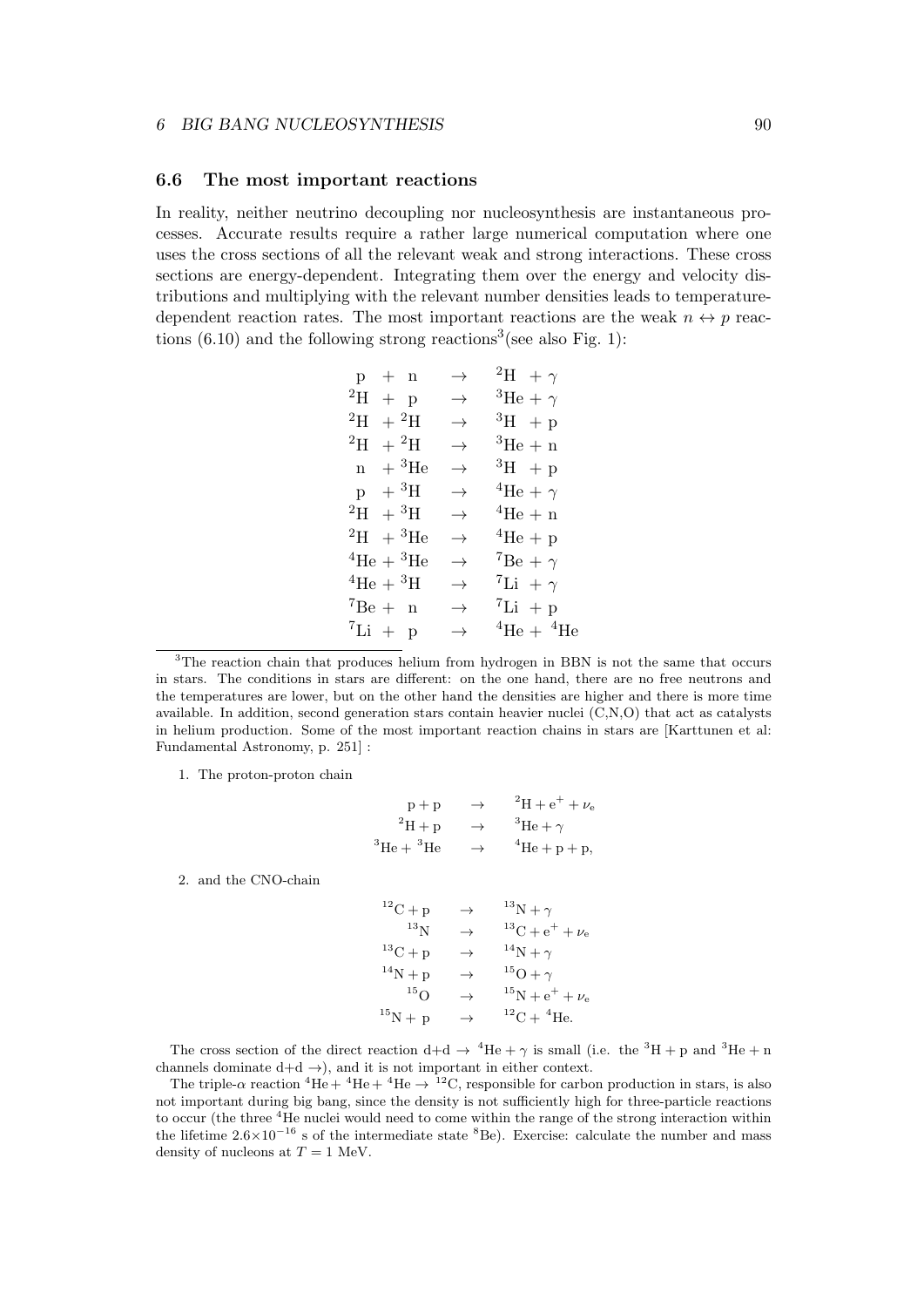#### **6.6 The most important reactions**

In reality, neither neutrino decoupling nor nucleosynthesis are instantaneous processes. Accurate results require a rather large numerical computation where one uses the cross sections of all the relevant weak and strong interactions. These cross sections are energy-dependent. Integrating them over the energy and velocity distributions and multiplying with the relevant number densities leads to temperaturedependent reaction rates. The most important reactions are the weak  $n \leftrightarrow p$  reactions  $(6.10)$  and the following strong reactions<sup>3</sup> (see also Fig. 1):

| $p + n$                             | $\rightarrow$ | <sup>2</sup> H + $\gamma$   |
|-------------------------------------|---------------|-----------------------------|
| $^{2}H + p$                         | $\rightarrow$ | ${}^{3}\text{He} + \gamma$  |
| $^{2}H + ^{2}H$                     | $\rightarrow$ | $^3H$ + p                   |
| $^{2}$ H<br>$+{}^{2}H$              | $\rightarrow$ | ${}^{3}$ He + n             |
| $n + {}^{3}_2$ He                   | $\rightarrow$ | ${}^{3}H$ + p               |
| $p + {}^{3}H$                       | $\rightarrow$ | <sup>4</sup> He + $\gamma$  |
| $^{2}H + ^{3}H$                     | $\rightarrow$ | $4$ He + n                  |
| $^{2}H + ^{3}He$                    | $\rightarrow$ | ${}^4\text{He} + \text{p}$  |
| ${}^{4}\text{He} + {}^{3}\text{He}$ | $\rightarrow$ | $7Be + \gamma$              |
| ${}^4\text{He} + {}^3\text{H}$      | $\rightarrow$ | <sup>7</sup> Li + $\gamma$  |
| $^7Be + n$                          | $\rightarrow$ | ${}^{7}$ Li + p             |
| ${}^{7}Li + p$                      | $\rightarrow$ | $^4\text{He} + ^4\text{He}$ |
|                                     |               |                             |

<sup>3</sup>The reaction chain that produces helium from hydrogen in BBN is not the same that occurs in stars. The conditions in stars are different: on the one hand, there are no free neutrons and the temperatures are lower, but on the other hand the densities are higher and there is more time available. In addition, second generation stars contain heavier nuclei (C,N,O) that act as catalysts in helium production. Some of the most important reaction chains in stars are [Karttunen et al: Fundamental Astronomy, p. 251] :

1. The proton-proton chain

$$
p + p \rightarrow {}^{2}H + e^{+} + \nu_{e}
$$
  
\n
$$
{}^{2}H + p \rightarrow {}^{3}He + \gamma
$$
  
\n
$$
{}^{3}He + {}^{3}He \rightarrow {}^{4}He + p + p,
$$

2. and the CNO-chain

 $^{12}C + p \rightarrow {^{13}N + \gamma}$ <br> $^{13}N \rightarrow {^{13}C + \rho}$  $\label{eq:13} \begin{aligned} ^{13}\text{C} + \text{e}^+ + \nu_\text{e} \\ ^{14}\text{N} + \gamma \end{aligned}$  $^{13}C + p \rightarrow {^{14}N + \gamma}$ <br>  $^{14}N + p \rightarrow {^{15}O + \gamma}$ <sup>14</sup>N + p<br><sup>15</sup>O  $^{15}$ O  $\rightarrow$   $^{15}$ N + e<sup>+</sup> +  $\nu_e$ <br>  $^{15}$ N + p  $\rightarrow$   $^{12}$ C + <sup>4</sup>He.  $^{12}$ C +  $^{4}$ He.

The cross section of the direct reaction  $d+d \rightarrow {}^4He + \gamma$  is small (i.e. the <sup>3</sup>H + p and <sup>3</sup>He + n channels dominate  $d+d \rightarrow$ ), and it is not important in either context.

The triple- $\alpha$  reaction <sup>4</sup>He + <sup>4</sup>He + <sup>4</sup>He  $\rightarrow$  <sup>12</sup>C, responsible for carbon production in stars, is also not important during big bang, since the density is not sufficiently high for three-particle reactions to occur (the three <sup>4</sup>He nuclei would need to come within the range of the strong interaction within the lifetime 2.6×10<sup>−16</sup> s of the intermediate state <sup>8</sup>Be). Exercise: calculate the number and mass density of nucleons at  $T = 1$  MeV.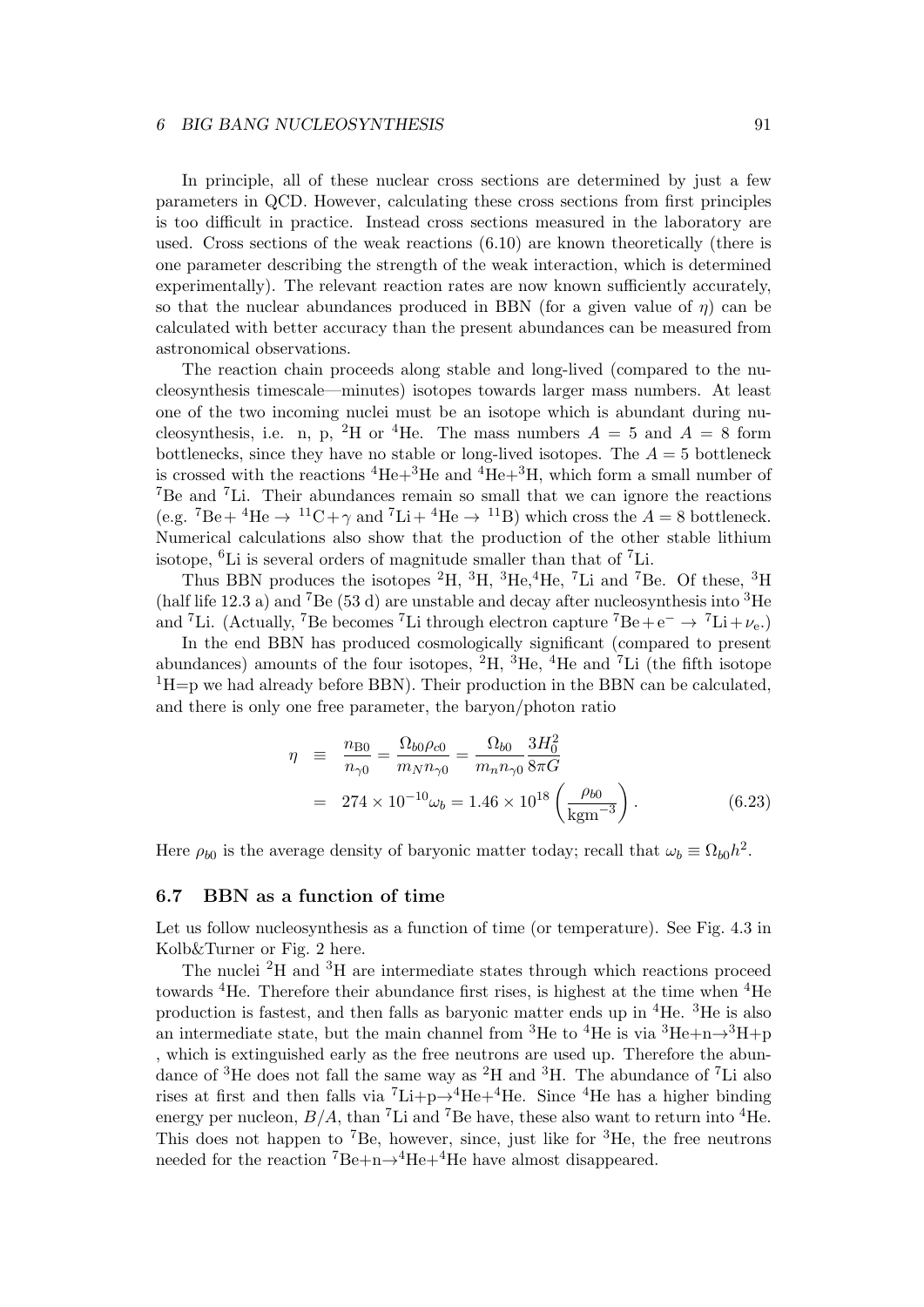#### *6 BIG BANG NUCLEOSYNTHESIS* 91

In principle, all of these nuclear cross sections are determined by just a few parameters in QCD. However, calculating these cross sections from first principles is too difficult in practice. Instead cross sections measured in the laboratory are used. Cross sections of the weak reactions (6.10) are known theoretically (there is one parameter describing the strength of the weak interaction, which is determined experimentally). The relevant reaction rates are now known sufficiently accurately, so that the nuclear abundances produced in BBN (for a given value of *η*) can be calculated with better accuracy than the present abundances can be measured from astronomical observations.

The reaction chain proceeds along stable and long-lived (compared to the nucleosynthesis timescale—minutes) isotopes towards larger mass numbers. At least one of the two incoming nuclei must be an isotope which is abundant during nucleosynthesis, i.e. n, p, <sup>2</sup>H or <sup>4</sup>He. The mass numbers  $A = 5$  and  $A = 8$  form bottlenecks, since they have no stable or long-lived isotopes. The  $A = 5$  bottleneck is crossed with the reactions  ${}^{4}He+{}^{3}He$  and  ${}^{4}He+{}^{3}H$ , which form a small number of <sup>7</sup>Be and <sup>7</sup>Li. Their abundances remain so small that we can ignore the reactions (e.g.  ${}^{7}Be+{}^{4}He \rightarrow {}^{11}C+\gamma$  and  ${}^{7}Li+{}^{4}He \rightarrow {}^{11}B$ ) which cross the  $A=8$  bottleneck. Numerical calculations also show that the production of the other stable lithium isotope,  ${}^{6}$ Li is several orders of magnitude smaller than that of  ${}^{7}$ Li.

Thus BBN produces the isotopes  ${}^{2}H$ ,  ${}^{3}H$ ,  ${}^{3}He$ ,  ${}^{4}He$ ,  ${}^{7}Li$  and  ${}^{7}Be$ . Of these,  ${}^{3}H$ (half life 12.3 a) and <sup>7</sup>Be (53 d) are unstable and decay after nucleosynthesis into <sup>3</sup>He and <sup>7</sup>Li. (Actually, <sup>7</sup>Be becomes <sup>7</sup>Li through electron capture <sup>7</sup>Be +  $e^- \rightarrow {}^7Li + \nu_e$ .)

In the end BBN has produced cosmologically significant (compared to present abundances) amounts of the four isotopes,  ${}^{2}H$ ,  ${}^{3}He$ ,  ${}^{4}He$  and  ${}^{7}Li$  (the fifth isotope  ${}^{1}$ H=p we had already before BBN). Their production in the BBN can be calculated, and there is only one free parameter, the baryon/photon ratio

$$
\eta = \frac{n_{\text{B0}}}{n_{\gamma 0}} = \frac{\Omega_{b0} \rho_{c0}}{m_N n_{\gamma 0}} = \frac{\Omega_{b0}}{m_n n_{\gamma 0}} \frac{3H_0^2}{8\pi G}
$$
  
= 274 × 10<sup>-10</sup>  $\omega_b$  = 1.46 × 10<sup>18</sup>  $\left(\frac{\rho_{b0}}{\text{kgm}^{-3}}\right)$ . (6.23)

Here  $\rho_{b0}$  is the average density of baryonic matter today; recall that  $\omega_b \equiv \Omega_{b0}h^2$ .

# **6.7 BBN as a function of time**

Let us follow nucleosynthesis as a function of time (or temperature). See Fig. 4.3 in Kolb&Turner or Fig. 2 here.

The nuclei  ${}^{2}$ H and  ${}^{3}$ H are intermediate states through which reactions proceed towards <sup>4</sup>He. Therefore their abundance first rises, is highest at the time when <sup>4</sup>He production is fastest, and then falls as baryonic matter ends up in <sup>4</sup>He. <sup>3</sup>He is also an intermediate state, but the main channel from <sup>3</sup>He to <sup>4</sup>He is via <sup>3</sup>He+n $\rightarrow$ <sup>3</sup>H+p , which is extinguished early as the free neutrons are used up. Therefore the abundance of <sup>3</sup>He does not fall the same way as <sup>2</sup>H and <sup>3</sup>H. The abundance of <sup>7</sup>Li also rises at first and then falls via  ${}^{7}\text{Li}+p\rightarrow {}^{4}\text{He}+{}^{4}\text{He}$ . Since  ${}^{4}\text{He}$  has a higher binding energy per nucleon,  $B/A$ , than <sup>7</sup>Li and <sup>7</sup>Be have, these also want to return into <sup>4</sup>He. This does not happen to <sup>7</sup>Be, however, since, just like for  ${}^{3}$ He, the free neutrons needed for the reaction <sup>7</sup>Be+n→<sup>4</sup>He+<sup>4</sup>He have almost disappeared.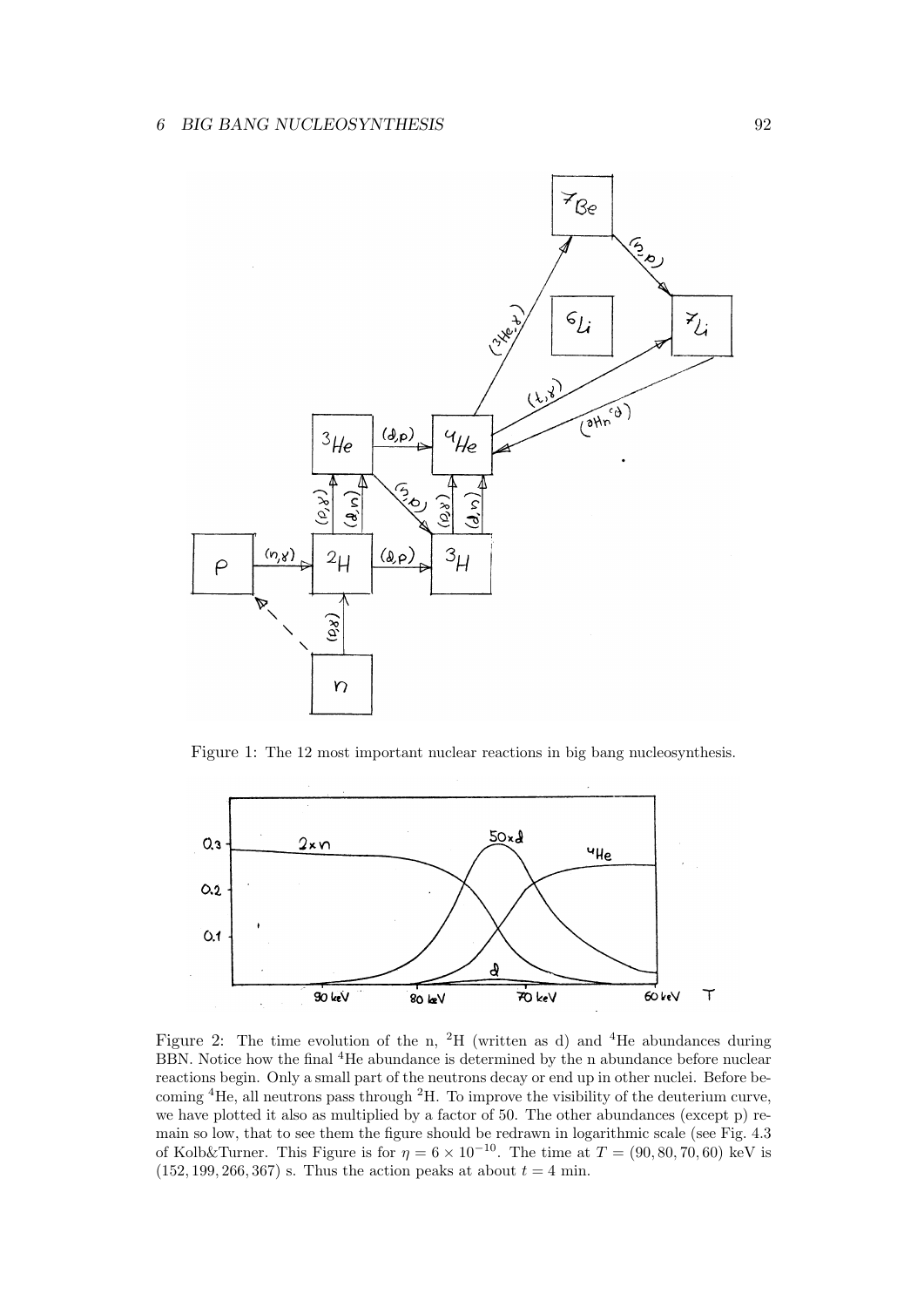

Figure 1: The 12 most important nuclear reactions in big bang nucleosynthesis.



Figure 2: The time evolution of the n, <sup>2</sup>H (written as d) and <sup>4</sup>He abundances during BBN. Notice how the final <sup>4</sup>He abundance is determined by the n abundance before nuclear reactions begin. Only a small part of the neutrons decay or end up in other nuclei. Before becoming <sup>4</sup>He, all neutrons pass through <sup>2</sup>H. To improve the visibility of the deuterium curve, we have plotted it also as multiplied by a factor of 50. The other abundances (except p) remain so low, that to see them the figure should be redrawn in logarithmic scale (see Fig. 4.3 of Kolb&Turner. This Figure is for  $\eta = 6 \times 10^{-10}$ . The time at  $T = (90, 80, 70, 60)$  keV is  $(152, 199, 266, 367)$  s. Thus the action peaks at about  $t = 4$  min.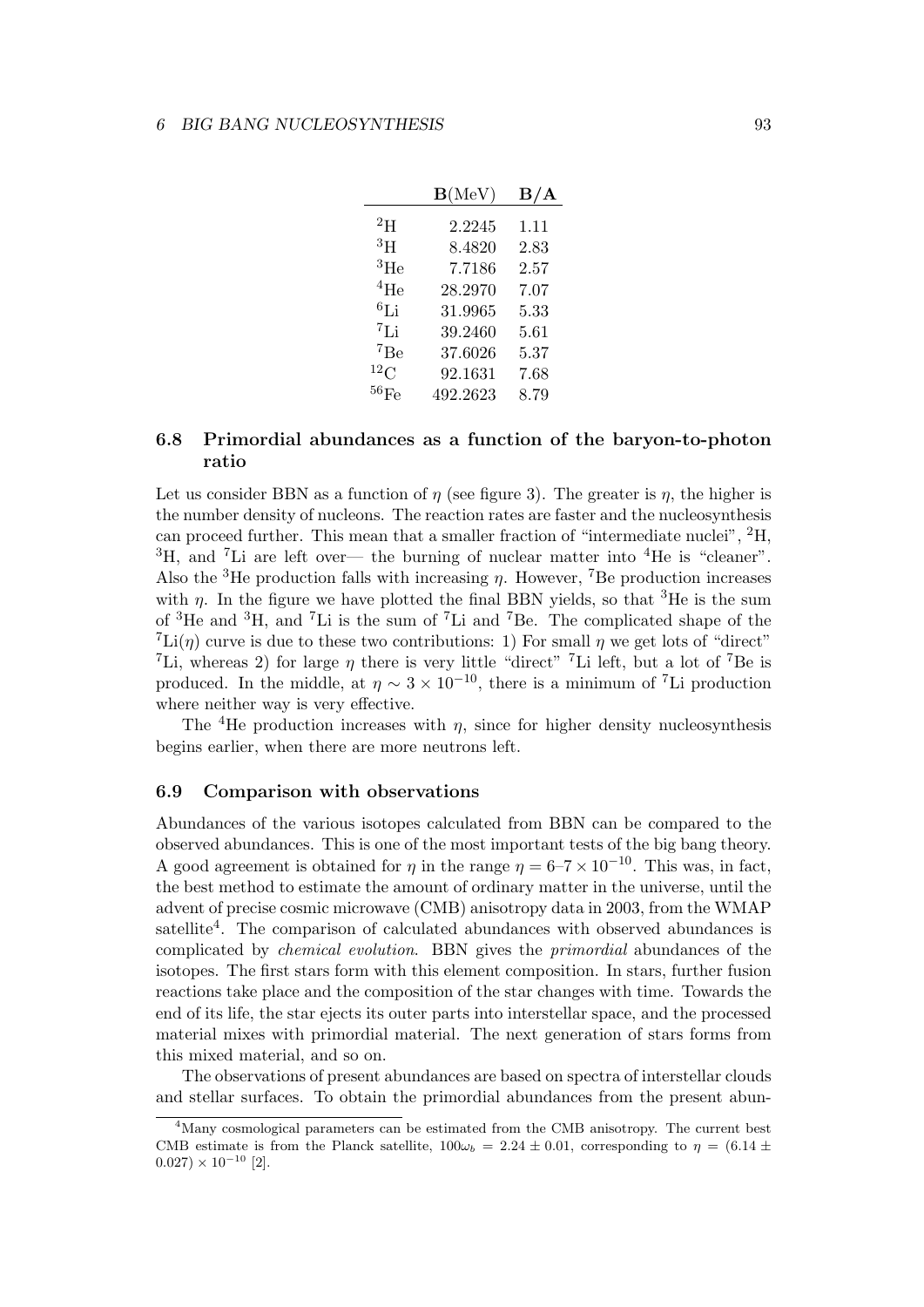|                    | $\mathbf{B}(\text{MeV})$ | $\rm\,B/A$ |
|--------------------|--------------------------|------------|
| $^{2}$ H           | 2.2245                   | 1.11       |
| $^3\mathrm{H}$     | 8.4820                   | 2.83       |
| ${}^{3}$ He        | 7.7186                   | 2.57       |
| $^{4}$ He          | 28.2970                  | 7.07       |
| ${}^{6}$ Li        | 31.9965                  | $5.33\,$   |
| ${}^{7}$ Li        | 39.2460                  | 5.61       |
| 7Be                | 37.6026                  | 5.37       |
| $^{12}$ C          | 92.1631                  | 7.68       |
| $^{56}\mathrm{Fe}$ | 492.2623                 | 8.79       |
|                    |                          |            |

# **6.8 Primordial abundances as a function of the baryon-to-photon ratio**

Let us consider BBN as a function of  $\eta$  (see figure 3). The greater is  $\eta$ , the higher is the number density of nucleons. The reaction rates are faster and the nucleosynthesis can proceed further. This mean that a smaller fraction of "intermediate nuclei", <sup>2</sup>H,  ${}^{3}$ H, and <sup>7</sup>Li are left over— the burning of nuclear matter into  ${}^{4}$ He is "cleaner". Also the <sup>3</sup>He production falls with increasing *η*. However, <sup>7</sup>Be production increases with  $\eta$ . In the figure we have plotted the final BBN yields, so that <sup>3</sup>He is the sum of <sup>3</sup>He and <sup>3</sup>H, and <sup>7</sup>Li is the sum of <sup>7</sup>Li and <sup>7</sup>Be. The complicated shape of the <sup>7</sup>Li(*η*) curve is due to these two contributions: 1) For small *η* we get lots of "direct" <sup>7</sup>Li, whereas 2) for large  $\eta$  there is very little "direct" <sup>7</sup>Li left, but a lot of <sup>7</sup>Be is produced. In the middle, at  $\eta \sim 3 \times 10^{-10}$ , there is a minimum of <sup>7</sup>Li production where neither way is very effective.

The <sup>4</sup>He production increases with  $\eta$ , since for higher density nucleosynthesis begins earlier, when there are more neutrons left.

## **6.9 Comparison with observations**

Abundances of the various isotopes calculated from BBN can be compared to the observed abundances. This is one of the most important tests of the big bang theory. A good agreement is obtained for *η* in the range  $\eta = 6-7 \times 10^{-10}$ . This was, in fact, the best method to estimate the amount of ordinary matter in the universe, until the advent of precise cosmic microwave (CMB) anisotropy data in 2003, from the WMAP satellite<sup>4</sup>. The comparison of calculated abundances with observed abundances is complicated by *chemical evolution*. BBN gives the *primordial* abundances of the isotopes. The first stars form with this element composition. In stars, further fusion reactions take place and the composition of the star changes with time. Towards the end of its life, the star ejects its outer parts into interstellar space, and the processed material mixes with primordial material. The next generation of stars forms from this mixed material, and so on.

The observations of present abundances are based on spectra of interstellar clouds and stellar surfaces. To obtain the primordial abundances from the present abun-

<sup>&</sup>lt;sup>4</sup>Many cosmological parameters can be estimated from the CMB anisotropy. The current best CMB estimate is from the Planck satellite,  $100\omega_b = 2.24 \pm 0.01$ , corresponding to  $\eta = (6.14 \pm 0.01)$  $0.027$ ) × 10<sup>-10</sup> [2].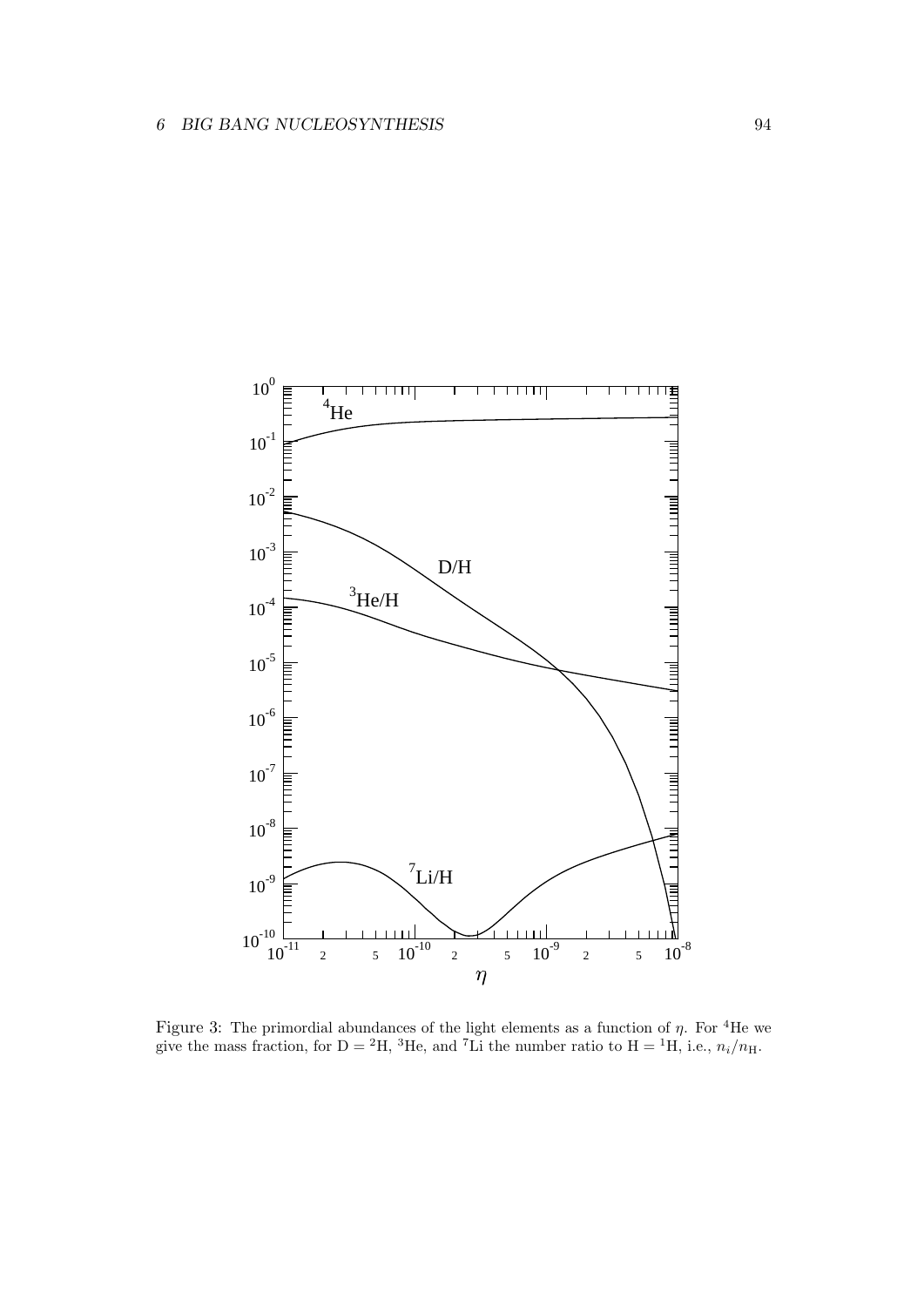

Figure 3: The primordial abundances of the light elements as a function of  $\eta$ . For <sup>4</sup>He we give the mass fraction, for  $D = {}^{2}H$ ,  ${}^{3}He$ , and  ${}^{7}Li$  the number ratio to  $H = {}^{1}H$ , i.e.,  $n_{i}/n_{H}$ .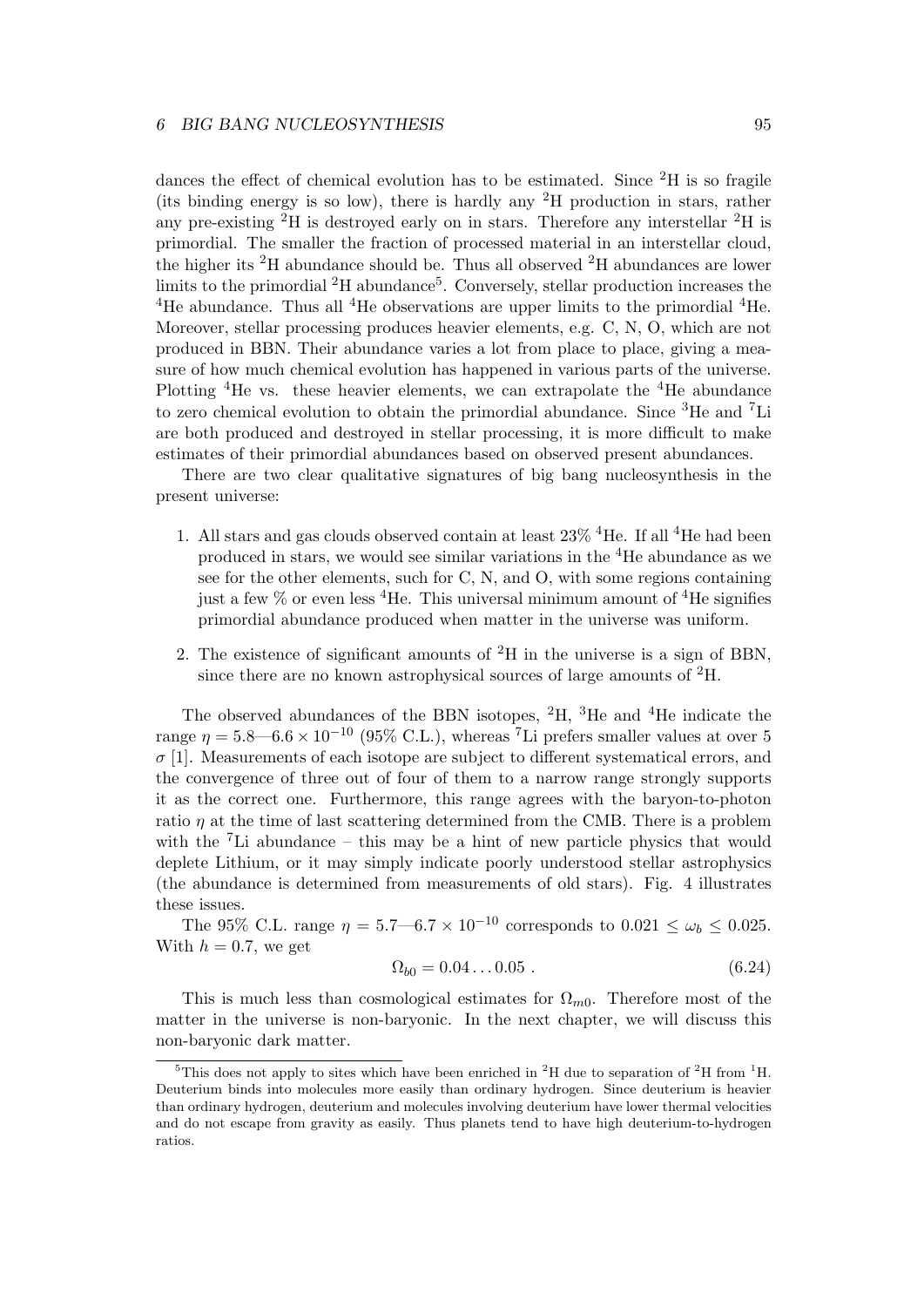dances the effect of chemical evolution has to be estimated. Since  ${}^{2}H$  is so fragile (its binding energy is so low), there is hardly any  ${}^{2}H$  production in stars, rather any pre-existing  ${}^{2}H$  is destroyed early on in stars. Therefore any interstellar  ${}^{2}H$  is primordial. The smaller the fraction of processed material in an interstellar cloud, the higher its <sup>2</sup>H abundance should be. Thus all observed <sup>2</sup>H abundances are lower limits to the primordial <sup>2</sup>H abundance<sup>5</sup>. Conversely, stellar production increases the <sup>4</sup>He abundance. Thus all <sup>4</sup>He observations are upper limits to the primordial  ${}^{4}$ He. Moreover, stellar processing produces heavier elements, e.g. C, N, O, which are not produced in BBN. Their abundance varies a lot from place to place, giving a measure of how much chemical evolution has happened in various parts of the universe. Plotting <sup>4</sup>He vs. these heavier elements, we can extrapolate the <sup>4</sup>He abundance to zero chemical evolution to obtain the primordial abundance. Since <sup>3</sup>He and <sup>7</sup>Li are both produced and destroyed in stellar processing, it is more difficult to make estimates of their primordial abundances based on observed present abundances.

There are two clear qualitative signatures of big bang nucleosynthesis in the present universe:

- 1. All stars and gas clouds observed contain at least  $23\%$  <sup>4</sup>He. If all <sup>4</sup>He had been produced in stars, we would see similar variations in the <sup>4</sup>He abundance as we see for the other elements, such for C, N, and O, with some regions containing just a few  $\%$  or even less <sup>4</sup>He. This universal minimum amount of <sup>4</sup>He signifies primordial abundance produced when matter in the universe was uniform.
- 2. The existence of significant amounts of  ${}^{2}H$  in the universe is a sign of BBN, since there are no known astrophysical sources of large amounts of  ${}^{2}H$ .

The observed abundances of the BBN isotopes,  ${}^{2}H$ ,  ${}^{3}He$  and  ${}^{4}He$  indicate the range  $\eta = 5.8 - 6.6 \times 10^{-10}$  (95% C.L.), whereas <sup>7</sup>Li prefers smaller values at over 5  $\sigma$  [1]. Measurements of each isotope are subject to different systematical errors, and the convergence of three out of four of them to a narrow range strongly supports it as the correct one. Furthermore, this range agrees with the baryon-to-photon ratio *η* at the time of last scattering determined from the CMB. There is a problem with the <sup>7</sup>Li abundance – this may be a hint of new particle physics that would deplete Lithium, or it may simply indicate poorly understood stellar astrophysics (the abundance is determined from measurements of old stars). Fig. 4 illustrates these issues.

The 95% C.L. range  $\eta = 5.7 - 6.7 \times 10^{-10}$  corresponds to 0.021  $\leq \omega_b \leq 0.025$ . With  $h = 0.7$ , we get

$$
\Omega_{b0} = 0.04 \dots 0.05 \tag{6.24}
$$

This is much less than cosmological estimates for  $\Omega_{m0}$ . Therefore most of the matter in the universe is non-baryonic. In the next chapter, we will discuss this non-baryonic dark matter.

<sup>&</sup>lt;sup>5</sup>This does not apply to sites which have been enriched in <sup>2</sup>H due to separation of <sup>2</sup>H from <sup>1</sup>H. Deuterium binds into molecules more easily than ordinary hydrogen. Since deuterium is heavier than ordinary hydrogen, deuterium and molecules involving deuterium have lower thermal velocities and do not escape from gravity as easily. Thus planets tend to have high deuterium-to-hydrogen ratios.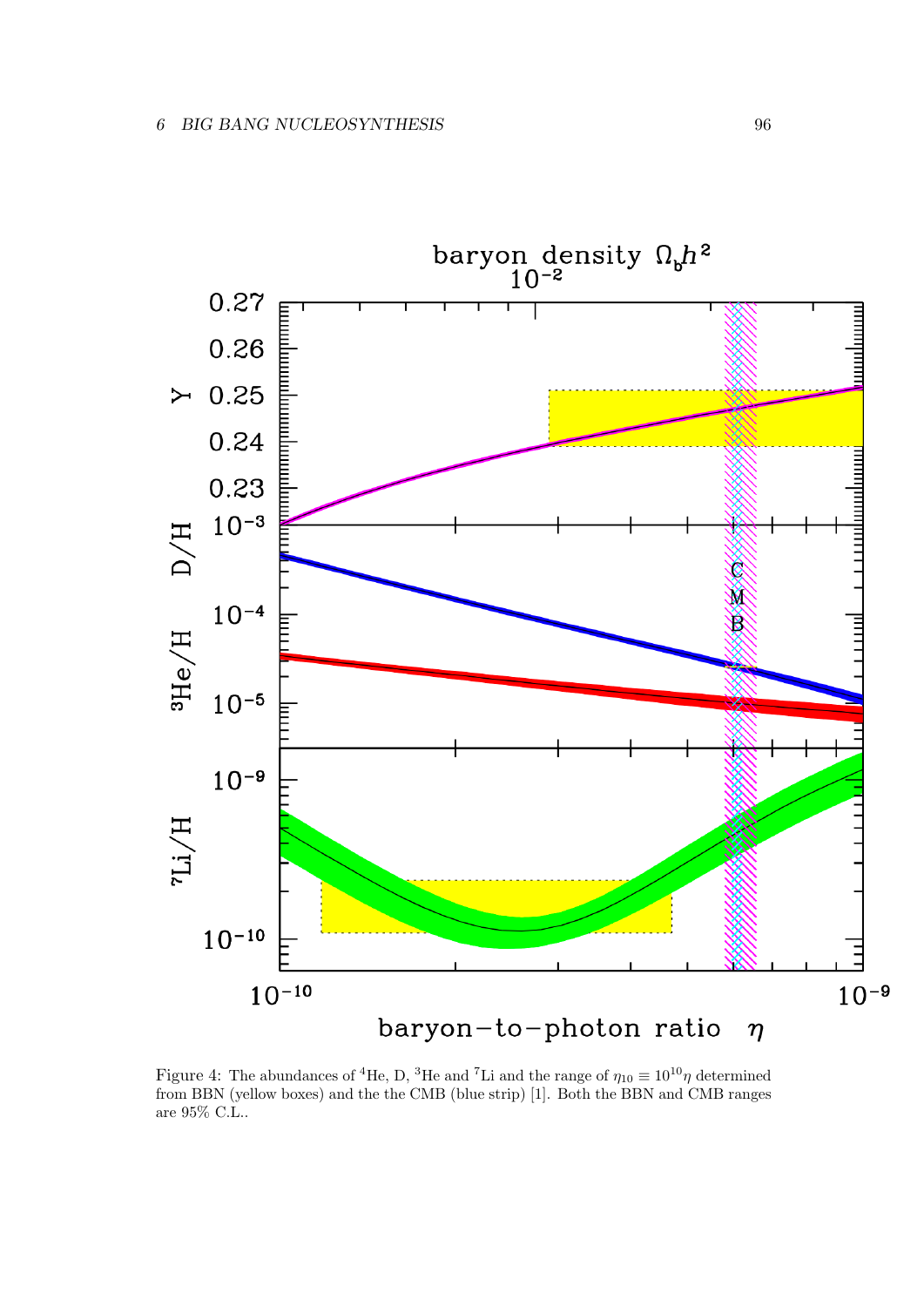

Figure 4: The abundances of <sup>4</sup>He, D, <sup>3</sup>He and <sup>7</sup>Li and the range of  $\eta_{10} \equiv 10^{10} \eta$  determined from BBN (yellow boxes) and the the CMB (blue strip) [1]. Both the BBN and CMB ranges are 95% C.L..